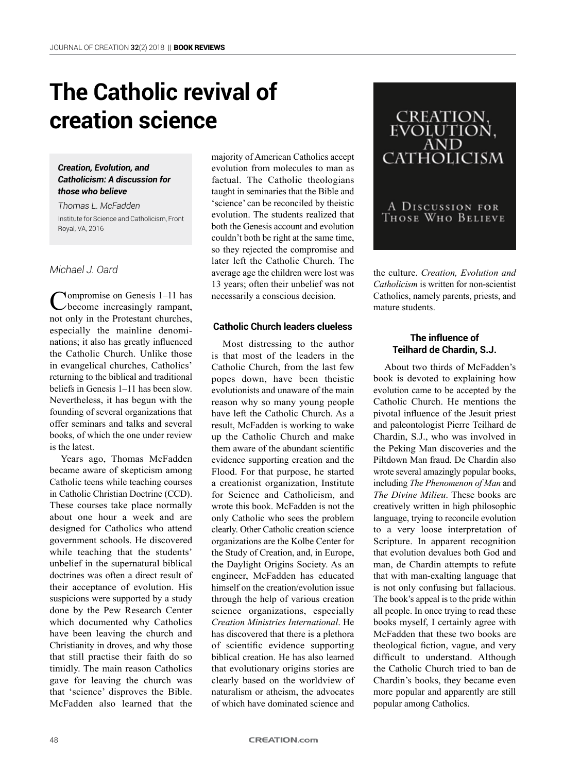# **The Catholic revival of creation science**

#### *Creation, Evolution, and Catholicism: A discussion for those who believe*

*Thomas L. McFadden* Institute for Science and Catholicism, Front Royal, VA, 2016

### *Michael J. Oard*

Compromise on Genesis 1–11 has become increasingly rampant, not only in the Protestant churches, especially the mainline denominations; it also has greatly influenced the Catholic Church. Unlike those in evangelical churches, Catholics' returning to the biblical and traditional beliefs in Genesis 1–11 has been slow. Nevertheless, it has begun with the founding of several organizations that offer seminars and talks and several books, of which the one under review is the latest.

Years ago, Thomas McFadden became aware of skepticism among Catholic teens while teaching courses in Catholic Christian Doctrine (CCD). These courses take place normally about one hour a week and are designed for Catholics who attend government schools. He discovered while teaching that the students' unbelief in the supernatural biblical doctrines was often a direct result of their acceptance of evolution. His suspicions were supported by a study done by the Pew Research Center which documented why Catholics have been leaving the church and Christianity in droves, and why those that still practise their faith do so timidly. The main reason Catholics gave for leaving the church was that 'science' disproves the Bible. McFadden also learned that the

majority of American Catholics accept evolution from molecules to man as factual. The Catholic theologians taught in seminaries that the Bible and 'science' can be reconciled by theistic evolution. The students realized that both the Genesis account and evolution couldn't both be right at the same time, so they rejected the compromise and later left the Catholic Church. The average age the children were lost was 13 years; often their unbelief was not necessarily a conscious decision.

#### **Catholic Church leaders clueless**

Most distressing to the author is that most of the leaders in the Catholic Church, from the last few popes down, have been theistic evolutionists and unaware of the main reason why so many young people have left the Catholic Church. As a result, McFadden is working to wake up the Catholic Church and make them aware of the abundant scientific evidence supporting creation and the Flood. For that purpose, he started a creationist organization, Institute for Science and Catholicism, and wrote this book. McFadden is not the only Catholic who sees the problem clearly. Other Catholic creation science organizations are the Kolbe Center for the Study of Creation, and, in Europe, the Daylight Origins Society. As an engineer, McFadden has educated himself on the creation/evolution issue through the help of various creation science organizations, especially *Creation Ministries International*. He has discovered that there is a plethora of scientific evidence supporting biblical creation. He has also learned that evolutionary origins stories are clearly based on the worldview of naturalism or atheism, the advocates of which have dominated science and



the culture. *Creation, Evolution and Catholicism* is written for non-scientist Catholics, namely parents, priests, and mature students.

### **The influence of Teilhard de Chardin, S.J.**

About two thirds of McFadden's book is devoted to explaining how evolution came to be accepted by the Catholic Church. He mentions the pivotal influence of the Jesuit priest and paleontologist Pierre Teilhard de Chardin, S.J., who was involved in the Peking Man discoveries and the Piltdown Man fraud. De Chardin also wrote several amazingly popular books, including *The Phenomenon of Man* and *The Divine Milieu*. These books are creatively written in high philosophic language, trying to reconcile evolution to a very loose interpretation of Scripture. In apparent recognition that evolution devalues both God and man, de Chardin attempts to refute that with man-exalting language that is not only confusing but fallacious. The book's appeal is to the pride within all people. In once trying to read these books myself, I certainly agree with McFadden that these two books are theological fiction, vague, and very difficult to understand. Although the Catholic Church tried to ban de Chardin's books, they became even more popular and apparently are still popular among Catholics.